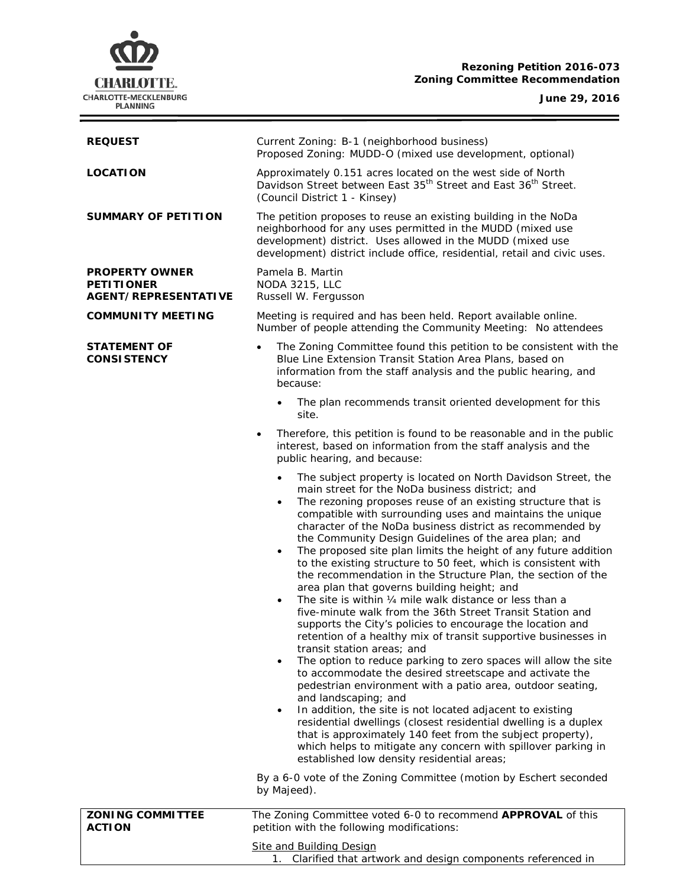# **Rezoning Petition 2016-073 Zoning Committee Recommendation**



**June 29, 2016**

÷

| <b>REQUEST</b>                                                            | Current Zoning: B-1 (neighborhood business)<br>Proposed Zoning: MUDD-O (mixed use development, optional)                                                                                                                                                                                                                                                                                                                                                                                                                                                                                                                                                                                                                                                                                                                                                                                                                                                                                                                                                                                                                                                                                                                                                                                                                                                                                                                                                                                                                                                                                   |  |
|---------------------------------------------------------------------------|--------------------------------------------------------------------------------------------------------------------------------------------------------------------------------------------------------------------------------------------------------------------------------------------------------------------------------------------------------------------------------------------------------------------------------------------------------------------------------------------------------------------------------------------------------------------------------------------------------------------------------------------------------------------------------------------------------------------------------------------------------------------------------------------------------------------------------------------------------------------------------------------------------------------------------------------------------------------------------------------------------------------------------------------------------------------------------------------------------------------------------------------------------------------------------------------------------------------------------------------------------------------------------------------------------------------------------------------------------------------------------------------------------------------------------------------------------------------------------------------------------------------------------------------------------------------------------------------|--|
| <b>LOCATION</b>                                                           | Approximately 0.151 acres located on the west side of North<br>Davidson Street between East 35 <sup>th</sup> Street and East 36 <sup>th</sup> Street.<br>(Council District 1 - Kinsey)                                                                                                                                                                                                                                                                                                                                                                                                                                                                                                                                                                                                                                                                                                                                                                                                                                                                                                                                                                                                                                                                                                                                                                                                                                                                                                                                                                                                     |  |
| <b>SUMMARY OF PETITION</b>                                                | The petition proposes to reuse an existing building in the NoDa<br>neighborhood for any uses permitted in the MUDD (mixed use<br>development) district. Uses allowed in the MUDD (mixed use<br>development) district include office, residential, retail and civic uses.                                                                                                                                                                                                                                                                                                                                                                                                                                                                                                                                                                                                                                                                                                                                                                                                                                                                                                                                                                                                                                                                                                                                                                                                                                                                                                                   |  |
| <b>PROPERTY OWNER</b><br><b>PETITIONER</b><br><b>AGENT/REPRESENTATIVE</b> | Pamela B. Martin<br><b>NODA 3215, LLC</b><br>Russell W. Fergusson                                                                                                                                                                                                                                                                                                                                                                                                                                                                                                                                                                                                                                                                                                                                                                                                                                                                                                                                                                                                                                                                                                                                                                                                                                                                                                                                                                                                                                                                                                                          |  |
| <b>COMMUNITY MEETING</b>                                                  | Meeting is required and has been held. Report available online.<br>Number of people attending the Community Meeting: No attendees                                                                                                                                                                                                                                                                                                                                                                                                                                                                                                                                                                                                                                                                                                                                                                                                                                                                                                                                                                                                                                                                                                                                                                                                                                                                                                                                                                                                                                                          |  |
| <b>STATEMENT OF</b><br><b>CONSISTENCY</b>                                 | The Zoning Committee found this petition to be consistent with the<br>Blue Line Extension Transit Station Area Plans, based on<br>information from the staff analysis and the public hearing, and<br>because:                                                                                                                                                                                                                                                                                                                                                                                                                                                                                                                                                                                                                                                                                                                                                                                                                                                                                                                                                                                                                                                                                                                                                                                                                                                                                                                                                                              |  |
|                                                                           | The plan recommends transit oriented development for this<br>$\bullet$<br>site.                                                                                                                                                                                                                                                                                                                                                                                                                                                                                                                                                                                                                                                                                                                                                                                                                                                                                                                                                                                                                                                                                                                                                                                                                                                                                                                                                                                                                                                                                                            |  |
|                                                                           | Therefore, this petition is found to be reasonable and in the public<br>$\bullet$<br>interest, based on information from the staff analysis and the<br>public hearing, and because:                                                                                                                                                                                                                                                                                                                                                                                                                                                                                                                                                                                                                                                                                                                                                                                                                                                                                                                                                                                                                                                                                                                                                                                                                                                                                                                                                                                                        |  |
|                                                                           | The subject property is located on North Davidson Street, the<br>$\bullet$<br>main street for the NoDa business district; and<br>The rezoning proposes reuse of an existing structure that is<br>$\bullet$<br>compatible with surrounding uses and maintains the unique<br>character of the NoDa business district as recommended by<br>the Community Design Guidelines of the area plan; and<br>The proposed site plan limits the height of any future addition<br>$\bullet$<br>to the existing structure to 50 feet, which is consistent with<br>the recommendation in the Structure Plan, the section of the<br>area plan that governs building height; and<br>The site is within 1/4 mile walk distance or less than a<br>$\bullet$<br>five-minute walk from the 36th Street Transit Station and<br>supports the City's policies to encourage the location and<br>retention of a healthy mix of transit supportive businesses in<br>transit station areas; and<br>The option to reduce parking to zero spaces will allow the site<br>٠<br>to accommodate the desired streetscape and activate the<br>pedestrian environment with a patio area, outdoor seating,<br>and landscaping; and<br>In addition, the site is not located adjacent to existing<br>$\bullet$<br>residential dwellings (closest residential dwelling is a duplex<br>that is approximately 140 feet from the subject property),<br>which helps to mitigate any concern with spillover parking in<br>established low density residential areas;<br>By a 6-0 vote of the Zoning Committee (motion by Eschert seconded |  |
| <b>ZONING COMMITTEE</b>                                                   | by Majeed).<br>The Zoning Committee voted 6-0 to recommend APPROVAL of this                                                                                                                                                                                                                                                                                                                                                                                                                                                                                                                                                                                                                                                                                                                                                                                                                                                                                                                                                                                                                                                                                                                                                                                                                                                                                                                                                                                                                                                                                                                |  |
| <b>ACTION</b>                                                             | petition with the following modifications:                                                                                                                                                                                                                                                                                                                                                                                                                                                                                                                                                                                                                                                                                                                                                                                                                                                                                                                                                                                                                                                                                                                                                                                                                                                                                                                                                                                                                                                                                                                                                 |  |
|                                                                           | <b>Site and Building Design</b><br>1. Clarified that artwork and design components referenced in                                                                                                                                                                                                                                                                                                                                                                                                                                                                                                                                                                                                                                                                                                                                                                                                                                                                                                                                                                                                                                                                                                                                                                                                                                                                                                                                                                                                                                                                                           |  |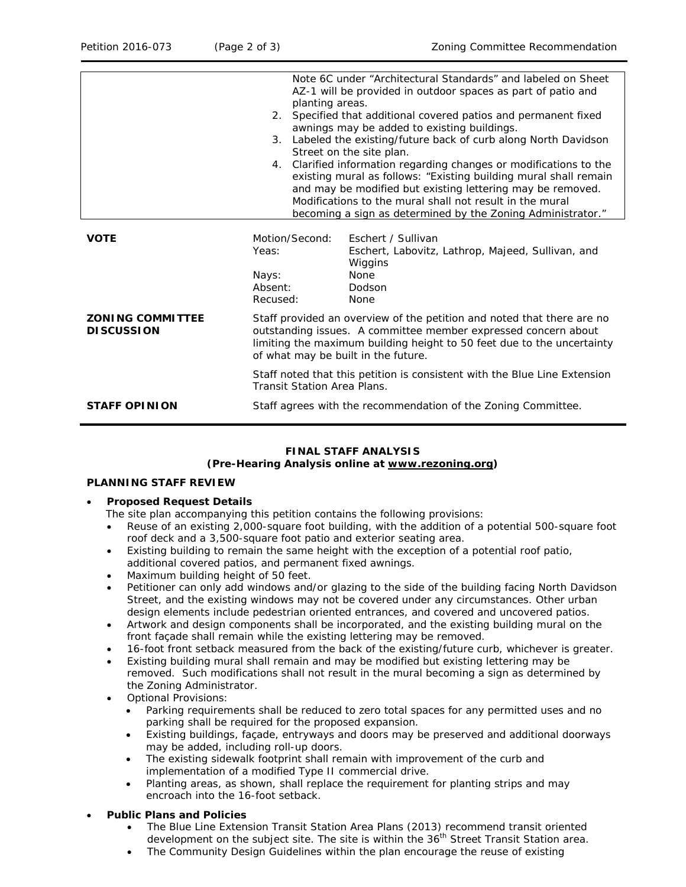|                                              |                                                                                                                                                                                                                                                           | Note 6C under "Architectural Standards" and labeled on Sheet<br>AZ-1 will be provided in outdoor spaces as part of patio and<br>planting areas.<br>2. Specified that additional covered patios and permanent fixed<br>awnings may be added to existing buildings.<br>3. Labeled the existing/future back of curb along North Davidson<br>Street on the site plan.<br>4. Clarified information regarding changes or modifications to the<br>existing mural as follows: "Existing building mural shall remain |  |
|----------------------------------------------|-----------------------------------------------------------------------------------------------------------------------------------------------------------------------------------------------------------------------------------------------------------|-------------------------------------------------------------------------------------------------------------------------------------------------------------------------------------------------------------------------------------------------------------------------------------------------------------------------------------------------------------------------------------------------------------------------------------------------------------------------------------------------------------|--|
|                                              |                                                                                                                                                                                                                                                           | and may be modified but existing lettering may be removed.<br>Modifications to the mural shall not result in the mural<br>becoming a sign as determined by the Zoning Administrator."                                                                                                                                                                                                                                                                                                                       |  |
| <b>VOTE</b>                                  | Motion/Second:<br>Yeas:<br>Nays:<br>Absent:<br>Recused:                                                                                                                                                                                                   | Eschert / Sullivan<br>Eschert, Labovitz, Lathrop, Majeed, Sullivan, and<br>Wiggins<br><b>None</b><br>Dodson<br><b>None</b>                                                                                                                                                                                                                                                                                                                                                                                  |  |
| <b>ZONING COMMITTEE</b><br><b>DISCUSSION</b> | Staff provided an overview of the petition and noted that there are no<br>outstanding issues. A committee member expressed concern about<br>limiting the maximum building height to 50 feet due to the uncertainty<br>of what may be built in the future. |                                                                                                                                                                                                                                                                                                                                                                                                                                                                                                             |  |
| <b>STAFF OPINION</b>                         | Staff noted that this petition is consistent with the <i>Blue Line Extension</i><br><b>Transit Station Area Plans.</b><br>Staff agrees with the recommendation of the Zoning Committee.                                                                   |                                                                                                                                                                                                                                                                                                                                                                                                                                                                                                             |  |

#### **FINAL STAFF ANALYSIS**

#### **(Pre-Hearing Analysis online at [www.rezoning.org\)](http://www.rezoning.org/)**

#### **PLANNING STAFF REVIEW**

#### • **Proposed Request Details**

- The site plan accompanying this petition contains the following provisions:
- Reuse of an existing 2,000-square foot building, with the addition of a potential 500-square foot roof deck and a 3,500-square foot patio and exterior seating area.
- Existing building to remain the same height with the exception of a potential roof patio, additional covered patios, and permanent fixed awnings.
- Maximum building height of 50 feet.
- Petitioner can only add windows and/or glazing to the side of the building facing North Davidson Street, and the existing windows may not be covered under any circumstances. Other urban design elements include pedestrian oriented entrances, and covered and uncovered patios.
- Artwork and design components shall be incorporated, and the existing building mural on the front façade shall remain while the existing lettering may be removed.
- 16-foot front setback measured from the back of the existing/future curb, whichever is greater.
- Existing building mural shall remain and may be modified but existing lettering may be removed. Such modifications shall not result in the mural becoming a sign as determined by the Zoning Administrator.
- Optional Provisions:
	- Parking requirements shall be reduced to zero total spaces for any permitted uses and no parking shall be required for the proposed expansion.
	- Existing buildings, façade, entryways and doors may be preserved and additional doorways may be added, including roll-up doors.
	- The existing sidewalk footprint shall remain with improvement of the curb and implementation of a modified Type II commercial drive.
	- Planting areas, as shown, shall replace the requirement for planting strips and may encroach into the 16-foot setback.

## • **Public Plans and Policies**

- The *Blue Line Extension Transit Station Area Plans* (2013) recommend transit oriented development on the subject site. The site is within the 36<sup>th</sup> Street Transit Station area.
- The Community Design Guidelines within the plan encourage the reuse of existing